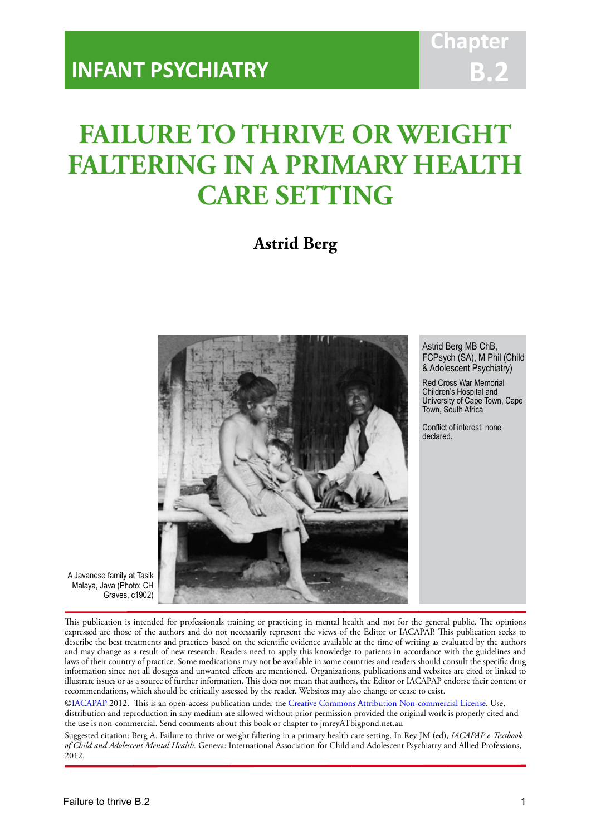# **Chapt B.2**

# **FAILURE TO THRIVE OR WEIGHT FALTERING IN A PRIMARY HEALTH CARE SETTING**

IACAPAP Textbook of Child and Adolescent Mental Health

# **Astrid Berg**



Astrid Berg MB ChB, FCPsych (SA), M Phil (Child & Adolescent Psychiatry)

Red Cross War Memorial Children's Hospital and University of Cape Town, Cape Town, South Africa

Conflict of interest: none declared.

A Javanese family at Tasik Malaya, Java (Photo: CH Graves, c1902)

This publication is intended for professionals training or practicing in mental health and not for the general public. The opinions expressed are those of the authors and do not necessarily represent the views of the Editor or IACAPAP. This publication seeks to describe the best treatments and practices based on the scientific evidence available at the time of writing as evaluated by the authors and may change as a result of new research. Readers need to apply this knowledge to patients in accordance with the guidelines and laws of their country of practice. Some medications may not be available in some countries and readers should consult the specific drug information since not all dosages and unwanted effects are mentioned. Organizations, publications and websites are cited or linked to illustrate issues or as a source of further information. This does not mean that authors, the Editor or IACAPAP endorse their content or recommendations, which should be critically assessed by the reader. Websites may also change or cease to exist.

[©IACAPAP](http://iacapap.org) 2012. This is an open-access publication under the [Creative Commons Attribution Non-commercial License](http://creativecommons.org). Use, distribution and reproduction in any medium are allowed without prior permission provided the original work is properly cited and the use is non-commercial. Send comments about this book or chapter to jmreyATbigpond.net.au

Suggested citation: Berg A. Failure to thrive or weight faltering in a primary health care setting. In Rey JM (ed), *IACAPAP e-Textbook of Child and Adolescent Mental Health*. Geneva: International Association for Child and Adolescent Psychiatry and Allied Professions, 2012.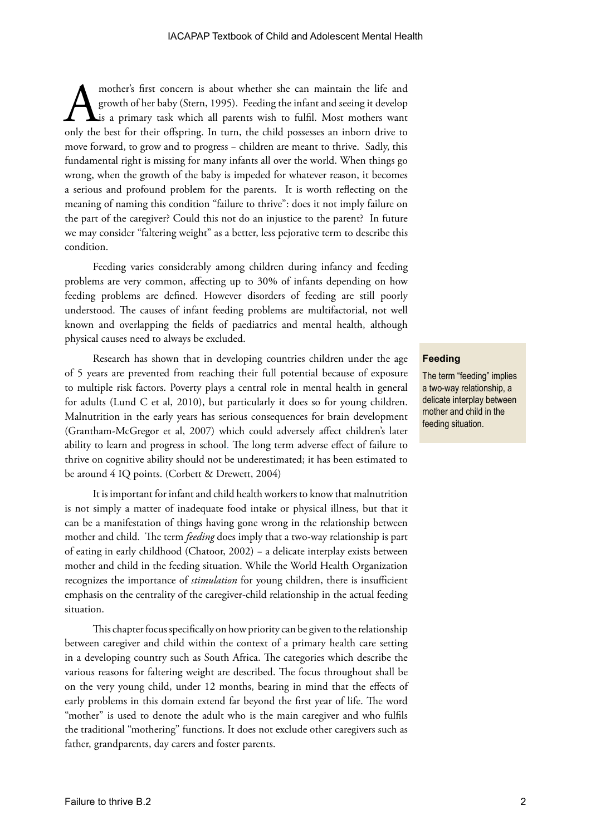mother's first concern is about whether she can maintain the life and growth of her baby (Stern, 1995). Feeding the infant and seeing it develop is a primary task which all parents wish to fulfil. Most mothers want only th growth of her baby (Stern, 1995). Feeding the infant and seeing it develop Lis a primary task which all parents wish to fulfil. Most mothers want move forward, to grow and to progress − children are meant to thrive. Sadly, this fundamental right is missing for many infants all over the world. When things go wrong, when the growth of the baby is impeded for whatever reason, it becomes a serious and profound problem for the parents. It is worth reflecting on the meaning of naming this condition "failure to thrive": does it not imply failure on the part of the caregiver? Could this not do an injustice to the parent? In future we may consider "faltering weight" as a better, less pejorative term to describe this condition.

Feeding varies considerably among children during infancy and feeding problems are very common, affecting up to 30% of infants depending on how feeding problems are defined. However disorders of feeding are still poorly understood. The causes of infant feeding problems are multifactorial, not well known and overlapping the fields of paediatrics and mental health, although physical causes need to always be excluded.

Research has shown that in developing countries children under the age of 5 years are prevented from reaching their full potential because of exposure to multiple risk factors. Poverty plays a central role in mental health in general for adults (Lund C et al, 2010), but particularly it does so for young children. Malnutrition in the early years has serious consequences for brain development (Grantham-McGregor et al, 2007) which could adversely affect children's later ability to learn and progress in school. The long term adverse effect of failure to thrive on cognitive ability should not be underestimated; it has been estimated to be around 4 IQ points. (Corbett & Drewett, 2004)

It is important for infant and child health workers to know that malnutrition is not simply a matter of inadequate food intake or physical illness, but that it can be a manifestation of things having gone wrong in the relationship between mother and child. The term *feeding* does imply that a two-way relationship is part of eating in early childhood (Chatoor, 2002) − a delicate interplay exists between mother and child in the feeding situation. While the World Health Organization recognizes the importance of *stimulation* for young children, there is insufficient emphasis on the centrality of the caregiver-child relationship in the actual feeding situation.

This chapter focus specifically on how priority can be given to the relationship between caregiver and child within the context of a primary health care setting in a developing country such as South Africa. The categories which describe the various reasons for faltering weight are described. The focus throughout shall be on the very young child, under 12 months, bearing in mind that the effects of early problems in this domain extend far beyond the first year of life. The word "mother" is used to denote the adult who is the main caregiver and who fulfils the traditional "mothering" functions. It does not exclude other caregivers such as father, grandparents, day carers and foster parents.

#### **Feeding**

The term "feeding" implies a two-way relationship, a delicate interplay between mother and child in the feeding situation.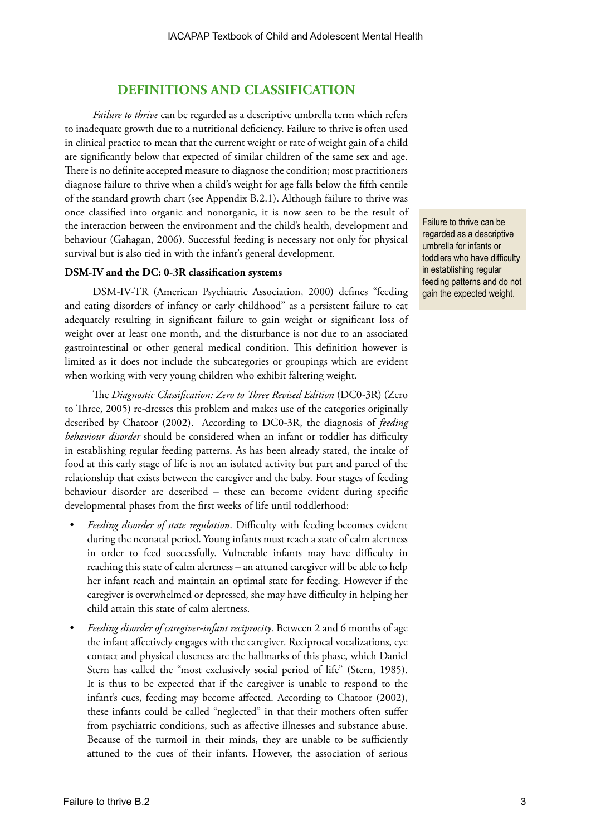# **DEFINITIONS AND CLASSIFICATION**

*Failure to thrive* can be regarded as a descriptive umbrella term which refers to inadequate growth due to a nutritional deficiency. Failure to thrive is often used in clinical practice to mean that the current weight or rate of weight gain of a child are significantly below that expected of similar children of the same sex and age. There is no definite accepted measure to diagnose the condition; most practitioners diagnose failure to thrive when a child's weight for age falls below the fifth centile of the standard growth chart (see Appendix B.2.1). Although failure to thrive was once classified into organic and nonorganic, it is now seen to be the result of the interaction between the environment and the child's health, development and behaviour (Gahagan, 2006). Successful feeding is necessary not only for physical survival but is also tied in with the infant's general development.

#### **DSM-IV and the DC: 0-3R classification systems**

DSM-IV-TR (American Psychiatric Association, 2000) defines "feeding and eating disorders of infancy or early childhood" as a persistent failure to eat adequately resulting in significant failure to gain weight or significant loss of weight over at least one month, and the disturbance is not due to an associated gastrointestinal or other general medical condition. This definition however is limited as it does not include the subcategories or groupings which are evident when working with very young children who exhibit faltering weight.

The *Diagnostic Classification: Zero to Three Revised Edition* (DC0-3R) (Zero to Three, 2005) re-dresses this problem and makes use of the categories originally described by Chatoor (2002). According to DC0-3R, the diagnosis of *feeding behaviour disorder* should be considered when an infant or toddler has difficulty in establishing regular feeding patterns. As has been already stated, the intake of food at this early stage of life is not an isolated activity but part and parcel of the relationship that exists between the caregiver and the baby. Four stages of feeding behaviour disorder are described – these can become evident during specific developmental phases from the first weeks of life until toddlerhood:

- *• Feeding disorder of state regulation*. Difficulty with feeding becomes evident during the neonatal period. Young infants must reach a state of calm alertness in order to feed successfully. Vulnerable infants may have difficulty in reaching this state of calm alertness – an attuned caregiver will be able to help her infant reach and maintain an optimal state for feeding. However if the caregiver is overwhelmed or depressed, she may have difficulty in helping her child attain this state of calm alertness.
- *• Feeding disorder of caregiver-infant reciprocity*. Between 2 and 6 months of age the infant affectively engages with the caregiver. Reciprocal vocalizations, eye contact and physical closeness are the hallmarks of this phase, which Daniel Stern has called the "most exclusively social period of life" (Stern, 1985). It is thus to be expected that if the caregiver is unable to respond to the infant's cues, feeding may become affected. According to Chatoor (2002), these infants could be called "neglected" in that their mothers often suffer from psychiatric conditions, such as affective illnesses and substance abuse. Because of the turmoil in their minds, they are unable to be sufficiently attuned to the cues of their infants. However, the association of serious

Failure to thrive can be regarded as a descriptive umbrella for infants or toddlers who have difficulty in establishing regular feeding patterns and do not gain the expected weight.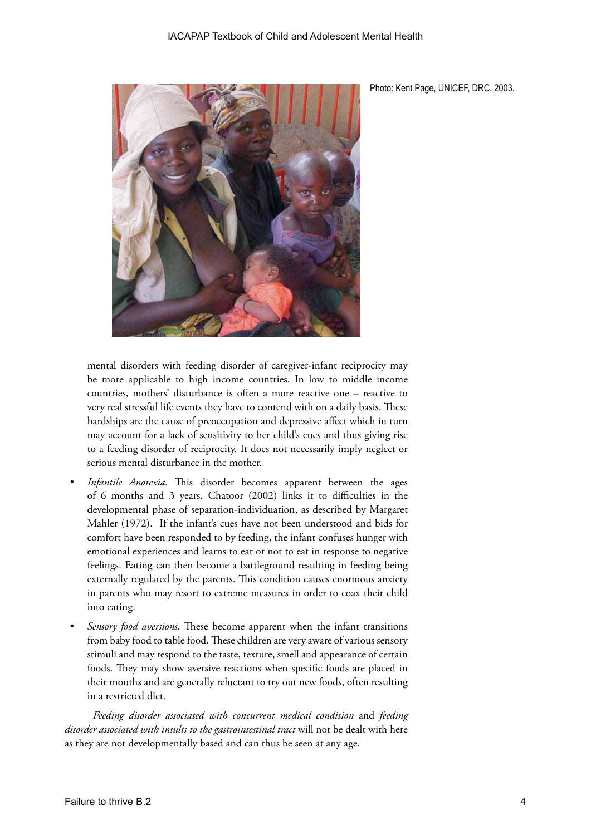

Photo: Kent Page, UNICEF, DRC, 2003.

mental disorders with feeding disorder of caregiver-infant reciprocity may be more applicable to high income countries. In low to middle income countries, mothers' disturbance is often a more reactive one – reactive to very real stressful life events they have to contend with on a daily basis. These hardships are the cause of preoccupation and depressive affect which in turn may account for a lack of sensitivity to her child's cues and thus giving rise to a feeding disorder of reciprocity. It does not necessarily imply neglect or serious mental disturbance in the mother.

- *Infantile Anorexia*. This disorder becomes apparent between the ages of 6 months and 3 years. Chatoor (2002) links it to difficulties in the developmental phase of separation-individuation, as described by Margaret Mahler (1972). If the infant's cues have not been understood and bids for comfort have been responded to by feeding, the infant confuses hunger with emotional experiences and learns to eat or not to eat in response to negative feelings. Eating can then become a battleground resulting in feeding being externally regulated by the parents. This condition causes enormous anxiety in parents who may resort to extreme measures in order to coax their child into eating.
- *• Sensory food aversions*. These become apparent when the infant transitions from baby food to table food. These children are very aware of various sensory stimuli and may respond to the taste, texture, smell and appearance of certain foods. They may show aversive reactions when specific foods are placed in their mouths and are generally reluctant to try out new foods, often resulting in a restricted diet.

*Feeding disorder associated with concurrent medical condition* and *feeding disorder associated with insults to the gastrointestinal tract* will not be dealt with here as they are not developmentally based and can thus be seen at any age.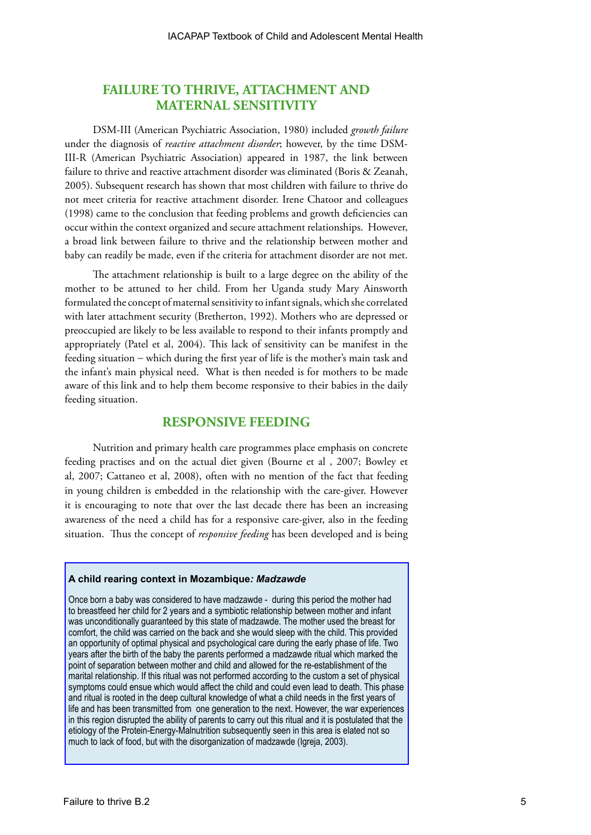# **FAILURE TO THRIVE, ATTACHMENT AND MATERNAL SENSITIVITY**

DSM-III (American Psychiatric Association, 1980) included *growth failure* under the diagnosis of *reactive attachment disorder*; however, by the time DSM-III-R (American Psychiatric Association) appeared in 1987, the link between failure to thrive and reactive attachment disorder was eliminated (Boris & Zeanah, 2005). Subsequent research has shown that most children with failure to thrive do not meet criteria for reactive attachment disorder. Irene Chatoor and colleagues (1998) came to the conclusion that feeding problems and growth deficiencies can occur within the context organized and secure attachment relationships. However, a broad link between failure to thrive and the relationship between mother and baby can readily be made, even if the criteria for attachment disorder are not met.

The attachment relationship is built to a large degree on the ability of the mother to be attuned to her child. From her Uganda study Mary Ainsworth formulated the concept of maternal sensitivity to infant signals, which she correlated with later attachment security (Bretherton, 1992). Mothers who are depressed or preoccupied are likely to be less available to respond to their infants promptly and appropriately (Patel et al, 2004). This lack of sensitivity can be manifest in the feeding situation − which during the first year of life is the mother's main task and the infant's main physical need. What is then needed is for mothers to be made aware of this link and to help them become responsive to their babies in the daily feeding situation.

# **RESPONSIVE FEEDING**

Nutrition and primary health care programmes place emphasis on concrete feeding practises and on the actual diet given (Bourne et al , 2007; Bowley et al, 2007; Cattaneo et al, 2008), often with no mention of the fact that feeding in young children is embedded in the relationship with the care-giver. However it is encouraging to note that over the last decade there has been an increasing awareness of the need a child has for a responsive care-giver, also in the feeding situation. Thus the concept of *responsive feeding* has been developed and is being

#### **A child rearing context in Mozambique***: Madzawde*

Once born a baby was considered to have madzawde - during this period the mother had to breastfeed her child for 2 years and a symbiotic relationship between mother and infant was unconditionally guaranteed by this state of madzawde. The mother used the breast for comfort, the child was carried on the back and she would sleep with the child. This provided an opportunity of optimal physical and psychological care during the early phase of life. Two years after the birth of the baby the parents performed a madzawde ritual which marked the point of separation between mother and child and allowed for the re-establishment of the marital relationship. If this ritual was not performed according to the custom a set of physical symptoms could ensue which would affect the child and could even lead to death. This phase and ritual is rooted in the deep cultural knowledge of what a child needs in the first years of life and has been transmitted from one generation to the next. However, the war experiences in this region disrupted the ability of parents to carry out this ritual and it is postulated that the etiology of the Protein-Energy-Malnutrition subsequently seen in this area is elated not so much to lack of food, but with the disorganization of madzawde (Igreja, 2003).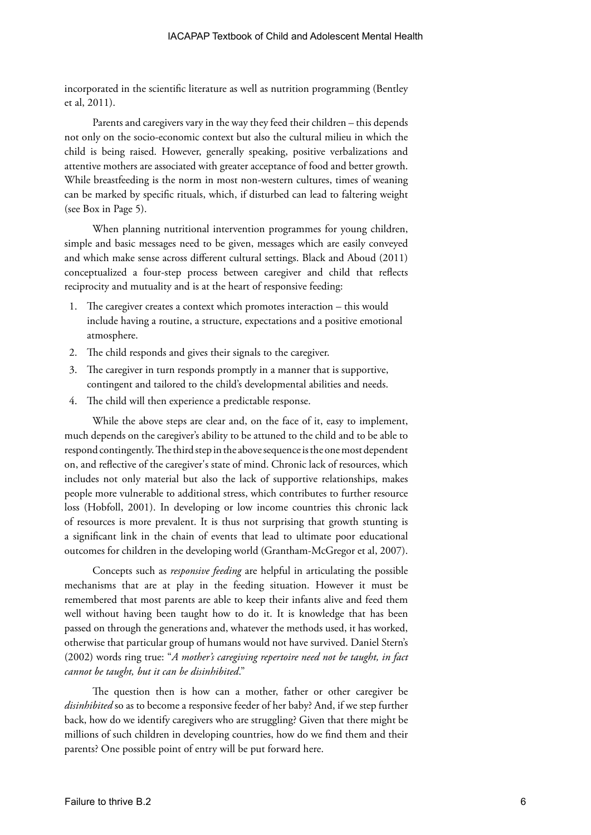incorporated in the scientific literature as well as nutrition programming (Bentley et al, 2011).

Parents and caregivers vary in the way they feed their children – this depends not only on the socio-economic context but also the cultural milieu in which the child is being raised. However, generally speaking, positive verbalizations and attentive mothers are associated with greater acceptance of food and better growth. While breastfeeding is the norm in most non-western cultures, times of weaning can be marked by specific rituals, which, if disturbed can lead to faltering weight (see Box in Page 5).

When planning nutritional intervention programmes for young children, simple and basic messages need to be given, messages which are easily conveyed and which make sense across different cultural settings. Black and Aboud (2011) conceptualized a four-step process between caregiver and child that reflects reciprocity and mutuality and is at the heart of responsive feeding:

- 1. The caregiver creates a context which promotes interaction this would include having a routine, a structure, expectations and a positive emotional atmosphere.
- 2. The child responds and gives their signals to the caregiver.
- 3. The caregiver in turn responds promptly in a manner that is supportive, contingent and tailored to the child's developmental abilities and needs.
- 4. The child will then experience a predictable response.

While the above steps are clear and, on the face of it, easy to implement, much depends on the caregiver's ability to be attuned to the child and to be able to respond contingently. The third step in the above sequence is the one most dependent on, and reflective of the caregiver's state of mind. Chronic lack of resources, which includes not only material but also the lack of supportive relationships, makes people more vulnerable to additional stress, which contributes to further resource loss (Hobfoll, 2001). In developing or low income countries this chronic lack of resources is more prevalent. It is thus not surprising that growth stunting is a significant link in the chain of events that lead to ultimate poor educational outcomes for children in the developing world (Grantham-McGregor et al, 2007).

Concepts such as *responsive feeding* are helpful in articulating the possible mechanisms that are at play in the feeding situation. However it must be remembered that most parents are able to keep their infants alive and feed them well without having been taught how to do it. It is knowledge that has been passed on through the generations and, whatever the methods used, it has worked, otherwise that particular group of humans would not have survived. Daniel Stern's (2002) words ring true: "*A mother's caregiving repertoire need not be taught, in fact cannot be taught, but it can be disinhibited*."

The question then is how can a mother, father or other caregiver be *disinhibited* so as to become a responsive feeder of her baby? And, if we step further back, how do we identify caregivers who are struggling? Given that there might be millions of such children in developing countries, how do we find them and their parents? One possible point of entry will be put forward here.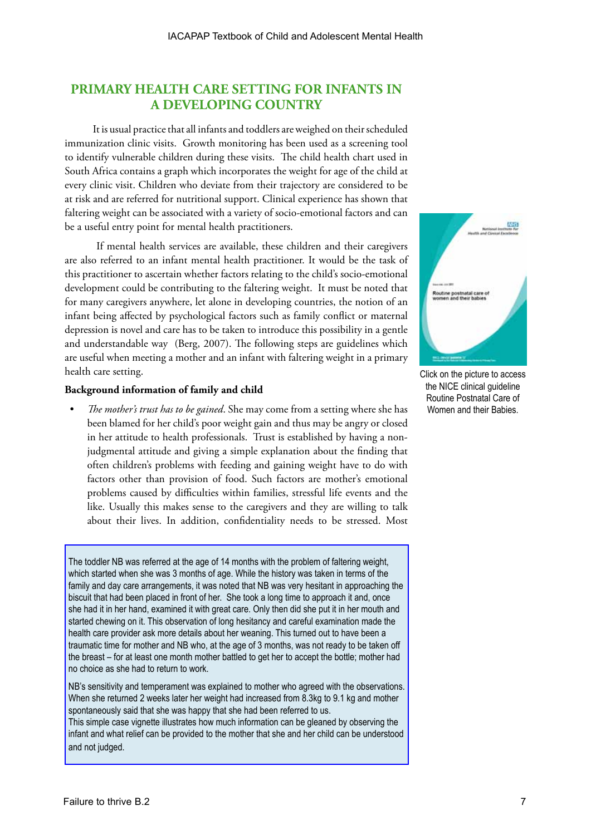# **PRIMARY HEALTH CARE SETTING FOR INFANTS IN A DEVELOPING COUNTRY**

It is usual practice that all infants and toddlers are weighed on their scheduled immunization clinic visits. Growth monitoring has been used as a screening tool to identify vulnerable children during these visits. The child health chart used in South Africa contains a graph which incorporates the weight for age of the child at every clinic visit. Children who deviate from their trajectory are considered to be at risk and are referred for nutritional support. Clinical experience has shown that faltering weight can be associated with a variety of socio-emotional factors and can be a useful entry point for mental health practitioners.

 If mental health services are available, these children and their caregivers are also referred to an infant mental health practitioner. It would be the task of this practitioner to ascertain whether factors relating to the child's socio-emotional development could be contributing to the faltering weight. It must be noted that for many caregivers anywhere, let alone in developing countries, the notion of an infant being affected by psychological factors such as family conflict or maternal depression is novel and care has to be taken to introduce this possibility in a gentle and understandable way (Berg, 2007). The following steps are guidelines which are useful when meeting a mother and an infant with faltering weight in a primary health care setting.

# **Background information of family and child**

*• The mother's trust has to be gained*. She may come from a setting where she has been blamed for her child's poor weight gain and thus may be angry or closed in her attitude to health professionals. Trust is established by having a nonjudgmental attitude and giving a simple explanation about the finding that often children's problems with feeding and gaining weight have to do with factors other than provision of food. Such factors are mother's emotional problems caused by difficulties within families, stressful life events and the like. Usually this makes sense to the caregivers and they are willing to talk about their lives. In addition, confidentiality needs to be stressed. Most

The toddler NB was referred at the age of 14 months with the problem of faltering weight, which started when she was 3 months of age. While the history was taken in terms of the family and day care arrangements, it was noted that NB was very hesitant in approaching the biscuit that had been placed in front of her. She took a long time to approach it and, once she had it in her hand, examined it with great care. Only then did she put it in her mouth and started chewing on it. This observation of long hesitancy and careful examination made the health care provider ask more details about her weaning. This turned out to have been a traumatic time for mother and NB who, at the age of 3 months, was not ready to be taken off the breast – for at least one month mother battled to get her to accept the bottle; mother had no choice as she had to return to work.

NB's sensitivity and temperament was explained to mother who agreed with the observations. When she returned 2 weeks later her weight had increased from 8.3kg to 9.1 kg and mother spontaneously said that she was happy that she had been referred to us.

This simple case vignette illustrates how much information can be gleaned by observing the infant and what relief can be provided to the mother that she and her child can be understood and not judged.



Click on the picture to access the NICE clinical guideline Routine Postnatal Care of Women and their Babies.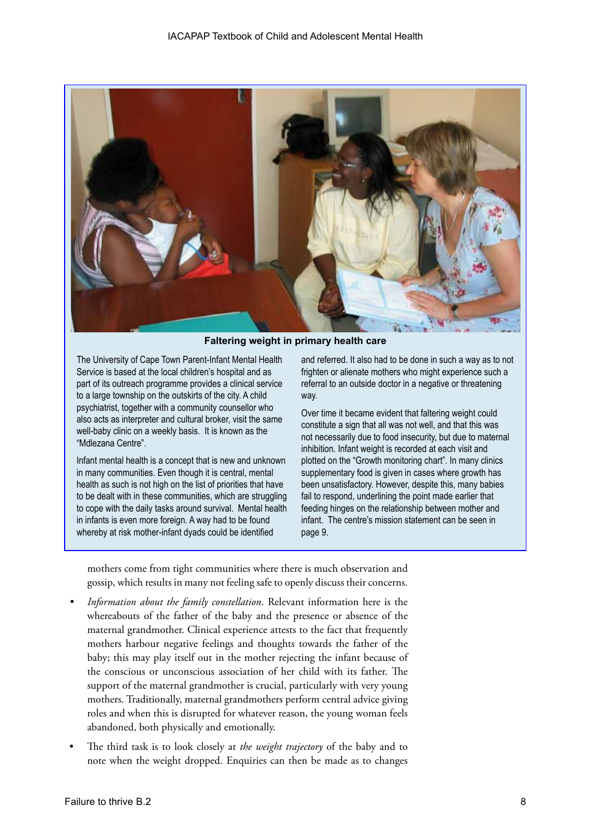

**Faltering weight in primary health care**

The University of Cape Town Parent-Infant Mental Health Service is based at the local children's hospital and as part of its outreach programme provides a clinical service to a large township on the outskirts of the city. A child psychiatrist, together with a community counsellor who also acts as interpreter and cultural broker, visit the same well-baby clinic on a weekly basis. It is known as the "Mdlezana Centre".

Infant mental health is a concept that is new and unknown in many communities. Even though it is central, mental health as such is not high on the list of priorities that have to be dealt with in these communities, which are struggling to cope with the daily tasks around survival. Mental health in infants is even more foreign. A way had to be found whereby at risk mother-infant dyads could be identified

and referred. It also had to be done in such a way as to not frighten or alienate mothers who might experience such a referral to an outside doctor in a negative or threatening way.

Over time it became evident that faltering weight could constitute a sign that all was not well, and that this was not necessarily due to food insecurity, but due to maternal inhibition. Infant weight is recorded at each visit and plotted on the "Growth monitoring chart". In many clinics supplementary food is given in cases where growth has been unsatisfactory. However, despite this, many babies fail to respond, underlining the point made earlier that feeding hinges on the relationship between mother and infant. The centre's mission statement can be seen in page 9.

mothers come from tight communities where there is much observation and gossip, which results in many not feeling safe to openly discuss their concerns.

- *• Information about the family constellation*. Relevant information here is the whereabouts of the father of the baby and the presence or absence of the maternal grandmother. Clinical experience attests to the fact that frequently mothers harbour negative feelings and thoughts towards the father of the baby; this may play itself out in the mother rejecting the infant because of the conscious or unconscious association of her child with its father. The support of the maternal grandmother is crucial, particularly with very young mothers. Traditionally, maternal grandmothers perform central advice giving roles and when this is disrupted for whatever reason, the young woman feels abandoned, both physically and emotionally.
- The third task is to look closely at *the weight trajectory* of the baby and to note when the weight dropped. Enquiries can then be made as to changes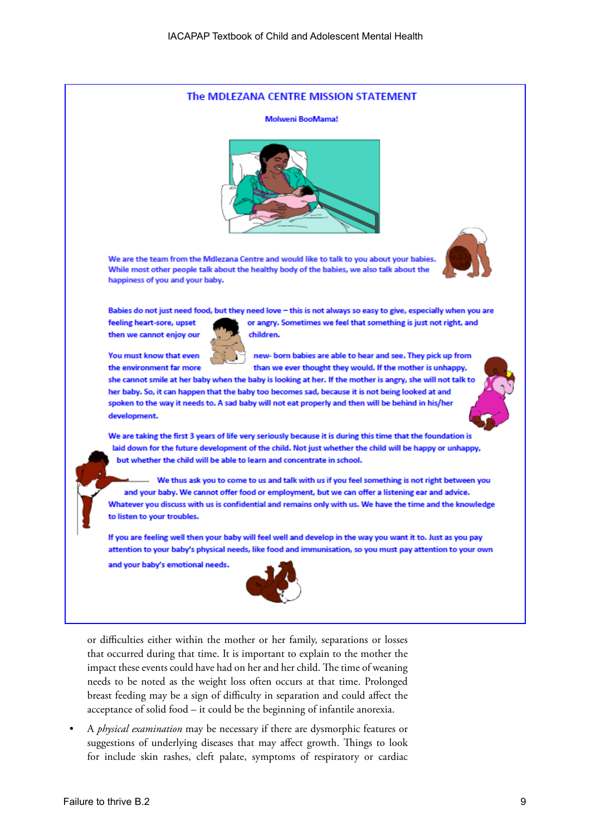

that occurred during that time. It is important to explain to the mother the impact these events could have had on her and her child. The time of weaning needs to be noted as the weight loss often occurs at that time. Prolonged breast feeding may be a sign of difficulty in separation and could affect the acceptance of solid food – it could be the beginning of infantile anorexia.

• A *physical examination* may be necessary if there are dysmorphic features or suggestions of underlying diseases that may affect growth. Things to look for include skin rashes, cleft palate, symptoms of respiratory or cardiac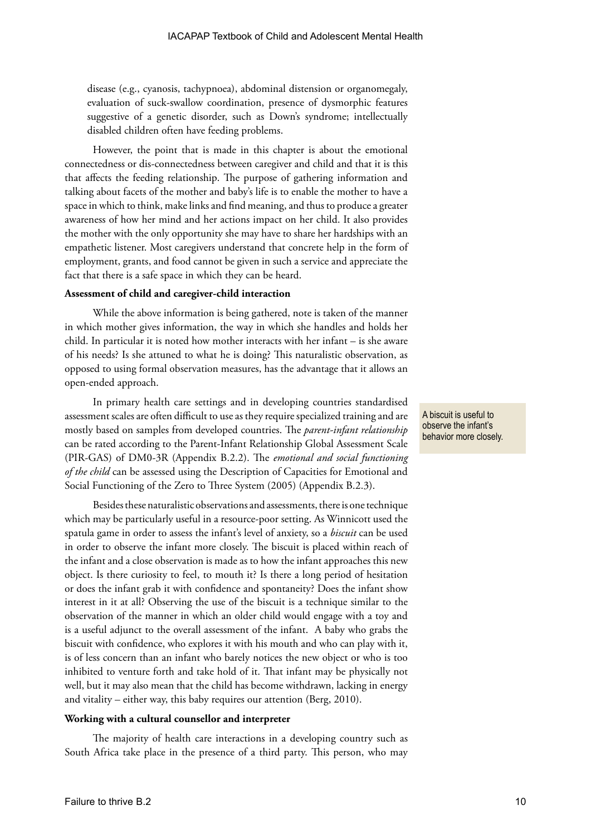disease (e.g., cyanosis, tachypnoea), abdominal distension or organomegaly, evaluation of suck-swallow coordination, presence of dysmorphic features suggestive of a genetic disorder, such as Down's syndrome; intellectually disabled children often have feeding problems.

However, the point that is made in this chapter is about the emotional connectedness or dis-connectedness between caregiver and child and that it is this that affects the feeding relationship. The purpose of gathering information and talking about facets of the mother and baby's life is to enable the mother to have a space in which to think, make links and find meaning, and thus to produce a greater awareness of how her mind and her actions impact on her child. It also provides the mother with the only opportunity she may have to share her hardships with an empathetic listener. Most caregivers understand that concrete help in the form of employment, grants, and food cannot be given in such a service and appreciate the fact that there is a safe space in which they can be heard.

#### **Assessment of child and caregiver-child interaction**

While the above information is being gathered, note is taken of the manner in which mother gives information, the way in which she handles and holds her child. In particular it is noted how mother interacts with her infant – is she aware of his needs? Is she attuned to what he is doing? This naturalistic observation, as opposed to using formal observation measures, has the advantage that it allows an open-ended approach.

In primary health care settings and in developing countries standardised assessment scales are often difficult to use as they require specialized training and are mostly based on samples from developed countries. The *parent-infant relationship* can be rated according to the Parent-Infant Relationship Global Assessment Scale (PIR-GAS) of DM0-3R (Appendix B.2.2). The *emotional and social functioning of the child* can be assessed using the Description of Capacities for Emotional and Social Functioning of the Zero to Three System (2005) (Appendix B.2.3).

Besides these naturalistic observations and assessments, there is one technique which may be particularly useful in a resource-poor setting. As Winnicott used the spatula game in order to assess the infant's level of anxiety, so a *biscuit* can be used in order to observe the infant more closely. The biscuit is placed within reach of the infant and a close observation is made as to how the infant approaches this new object. Is there curiosity to feel, to mouth it? Is there a long period of hesitation or does the infant grab it with confidence and spontaneity? Does the infant show interest in it at all? Observing the use of the biscuit is a technique similar to the observation of the manner in which an older child would engage with a toy and is a useful adjunct to the overall assessment of the infant. A baby who grabs the biscuit with confidence, who explores it with his mouth and who can play with it, is of less concern than an infant who barely notices the new object or who is too inhibited to venture forth and take hold of it. That infant may be physically not well, but it may also mean that the child has become withdrawn, lacking in energy and vitality – either way, this baby requires our attention (Berg, 2010).

#### **Working with a cultural counsellor and interpreter**

The majority of health care interactions in a developing country such as South Africa take place in the presence of a third party. This person, who may A biscuit is useful to observe the infant's behavior more closely.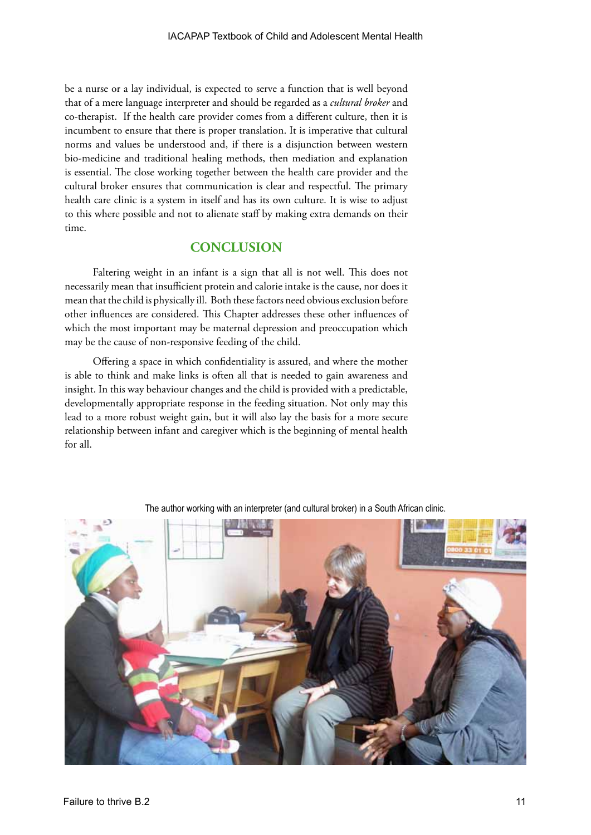be a nurse or a lay individual, is expected to serve a function that is well beyond that of a mere language interpreter and should be regarded as a *cultural broker* and co-therapist. If the health care provider comes from a different culture, then it is incumbent to ensure that there is proper translation. It is imperative that cultural norms and values be understood and, if there is a disjunction between western bio-medicine and traditional healing methods, then mediation and explanation is essential. The close working together between the health care provider and the cultural broker ensures that communication is clear and respectful. The primary health care clinic is a system in itself and has its own culture. It is wise to adjust to this where possible and not to alienate staff by making extra demands on their time.

# **CONCLUSION**

Faltering weight in an infant is a sign that all is not well. This does not necessarily mean that insufficient protein and calorie intake is the cause, nor does it mean that the child is physically ill. Both these factors need obvious exclusion before other influences are considered. This Chapter addresses these other influences of which the most important may be maternal depression and preoccupation which may be the cause of non-responsive feeding of the child.

Offering a space in which confidentiality is assured, and where the mother is able to think and make links is often all that is needed to gain awareness and insight. In this way behaviour changes and the child is provided with a predictable, developmentally appropriate response in the feeding situation. Not only may this lead to a more robust weight gain, but it will also lay the basis for a more secure relationship between infant and caregiver which is the beginning of mental health for all.



The author working with an interpreter (and cultural broker) in a South African clinic.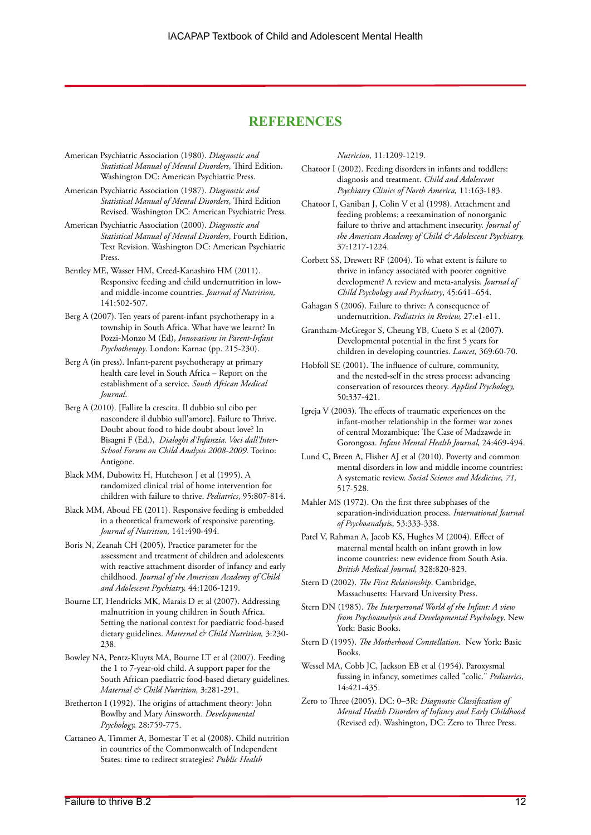# **REFERENCES**

- American Psychiatric Association (1980). *Diagnostic and Statistical Manual of Mental Disorders*, Third Edition. Washington DC: American Psychiatric Press.
- American Psychiatric Association (1987). *Diagnostic and Statistical Manual of Mental Disorders*, Third Edition Revised. Washington DC: American Psychiatric Press.
- American Psychiatric Association (2000). *Diagnostic and Statistical Manual of Mental Disorders*, Fourth Edition, Text Revision. Washington DC: American Psychiatric Press.
- Bentley ME, Wasser HM, Creed-Kanashiro HM (2011). Responsive feeding and child undernutrition in lowand middle-income countries. *Journal of Nutrition,*  141:502-507.
- Berg A (2007). Ten years of parent-infant psychotherapy in a township in South Africa. What have we learnt? In Pozzi-Monzo M (Ed), *Innovations in Parent-Infant Psychotherapy*. London: Karnac (pp. 215-230).
- Berg A (in press). Infant-parent psychotherapy at primary health care level in South Africa – Report on the establishment of a service. *South African Medical Journal*.
- Berg A (2010). [Fallire la crescita. Il dubbio sul cibo per nascondere il dubbio sull'amore]. Failure to Thrive. Doubt about food to hide doubt about love? In Bisagni F (Ed.), *Dialoghi d'Infanzia. Voci dall'Inter-School Forum on Child Analysis 2008-2009.* Torino: Antigone.
- Black MM, Dubowitz H, Hutcheson J et al (1995). A randomized clinical trial of home intervention for children with failure to thrive. *Pediatrics*, 95:807-814.
- Black MM, Aboud FE (2011). Responsive feeding is embedded in a theoretical framework of responsive parenting. *Journal of Nutrition,* 141:490-494.
- Boris N, Zeanah CH (2005). Practice parameter for the assessment and treatment of children and adolescents with reactive attachment disorder of infancy and early childhood. *Journal of the American Academy of Child and Adolescent Psychiatry,* 44:1206-1219.
- Bourne LT, Hendricks MK, Marais D et al (2007). Addressing malnutrition in young children in South Africa. Setting the national context for paediatric food-based dietary guidelines. *Maternal & Child Nutrition,* 3:230- 238.
- Bowley NA, Pentz-Kluyts MA, Bourne LT et al (2007). Feeding the 1 to 7-year-old child. A support paper for the South African paediatric food-based dietary guidelines. *Maternal & Child Nutrition,* 3:281-291.
- Bretherton I (1992). The origins of attachment theory: John Bowlby and Mary Ainsworth. *Developmental Psychology,* 28:759-775.
- Cattaneo A, Timmer A, Bomestar T et al (2008). Child nutrition in countries of the Commonwealth of Independent States: time to redirect strategies? *Public Health*

*Nutricion,* 11:1209-1219.

- Chatoor I (2002). Feeding disorders in infants and toddlers: diagnosis and treatment. *Child and Adolescent Psychiatry Clinics of North America,* 11:163-183.
- Chatoor I, Ganiban J, Colin V et al (1998). Attachment and feeding problems: a reexamination of nonorganic failure to thrive and attachment insecurity. *Journal of the American Academy of Child & Adolescent Psychiatry,* 37:1217-1224.
- Corbett SS, Drewett RF (2004). To what extent is failure to thrive in infancy associated with poorer cognitive development? A review and meta-analysis. *Journal of Child Psychology and Psychiatry*, 45:641–654.
- Gahagan S (2006). Failure to thrive: A consequence of undernutrition. *Pediatrics in Review,* 27:e1-e11.
- Grantham-McGregor S, Cheung YB, Cueto S et al (2007). Developmental potential in the first 5 years for children in developing countries. *Lancet,* 369:60-70.
- Hobfoll SE (2001). The influence of culture, community, and the nested-self in the stress process: advancing conservation of resources theory. *Applied Psychology,* 50:337-421.
- Igreja V (2003). The effects of traumatic experiences on the infant-mother relationship in the former war zones of central Mozambique: The Case of Madzawde in Gorongosa. *Infant Mental Health Journal*, 24:469-494.
- Lund C, Breen A, Flisher AJ et al (2010). Poverty and common mental disorders in low and middle income countries: A systematic review. *Social Science and Medicine, 71,* 517-528.
- Mahler MS (1972). On the first three subphases of the separation-individuation process. *International Journal of Psychoanalysi*s, 53:333-338.
- Patel V, Rahman A, Jacob KS, Hughes M (2004). Effect of maternal mental health on infant growth in low income countries: new evidence from South Asia. *British Medical Journal,* 328:820-823.
- Stern D (2002). *The First Relationship*. Cambridge, Massachusetts: Harvard University Press.
- Stern DN (1985). *The Interpersonal World of the Infant: A view from Psychoanalysis and Developmental Psychology*. New York: Basic Books.
- Stern D (1995). *The Motherhood Constellation*. New York: Basic Books.
- Wessel MA, Cobb JC, Jackson EB et al (1954). Paroxysmal fussing in infancy, sometimes called "colic." *Pediatrics*, 14:421-435.
- Zero to Three (2005). DC: 0–3R: *Diagnostic Classification of Mental Health Disorders of Infancy and Early Childhood* (Revised ed). Washington, DC: Zero to Three Press.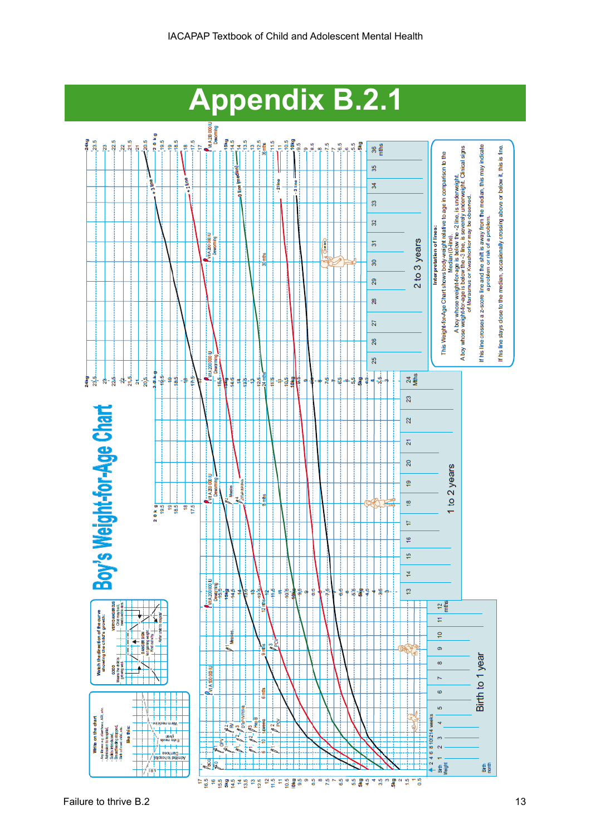

Failure to thrive B.2 13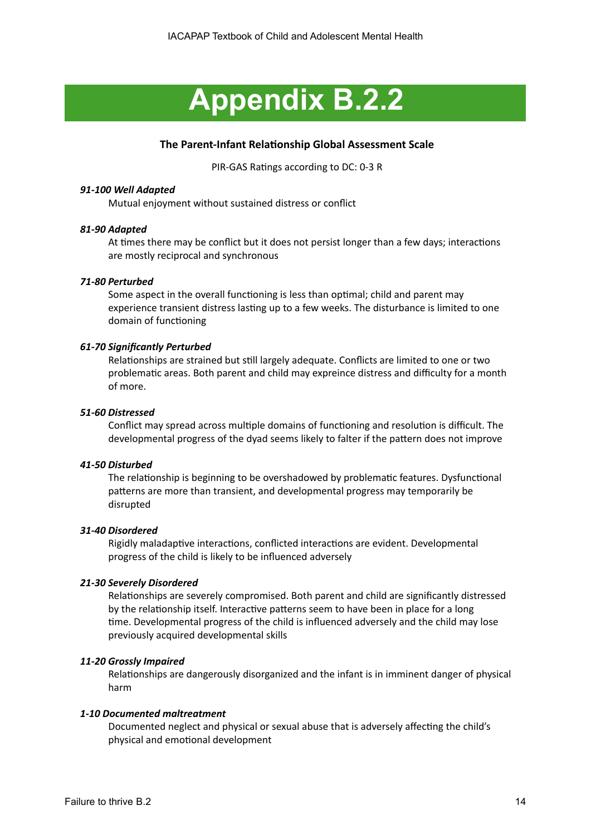# **Appendix B.2.2**

# **The Parent-Infant Relationship Global Assessment Scale**

PIR-GAS Ratings according to DC: 0-3 R

# *91-100 Well Adapted*

Mutual enjoyment without sustained distress or conflict

# *81-90 Adapted*

At times there may be conflict but it does not persist longer than a few days; interactions are mostly reciprocal and synchronous

## *71-80 Perturbed*

Some aspect in the overall functioning is less than optimal; child and parent may experience transient distress lasting up to a few weeks. The disturbance is limited to one domain of functioning

## *61-70 Significantly Perturbed*

Relationships are strained but still largely adequate. Conflicts are limited to one or two problematic areas. Both parent and child may expreince distress and difficulty for a month of more.

### *51-60 Distressed*

Conflict may spread across multiple domains of functioning and resolution is difficult. The developmental progress of the dyad seems likely to falter if the pattern does not improve

### *41-50 Disturbed*

The relationship is beginning to be overshadowed by problematic features. Dysfunctional patterns are more than transient, and developmental progress may temporarily be disrupted

### *31-40 Disordered*

Rigidly maladaptive interactions, conflicted interactions are evident. Developmental progress of the child is likely to be influenced adversely

### *21-30 Severely Disordered*

Relationships are severely compromised. Both parent and child are significantly distressed by the relationship itself. Interactive patterns seem to have been in place for a long time. Developmental progress of the child is influenced adversely and the child may lose previously acquired developmental skills

### *11-20 Grossly Impaired*

Relationships are dangerously disorganized and the infant is in imminent danger of physical harm

### *1-10 Documented maltreatment*

Documented neglect and physical or sexual abuse that is adversely affecting the child's physical and emotional development